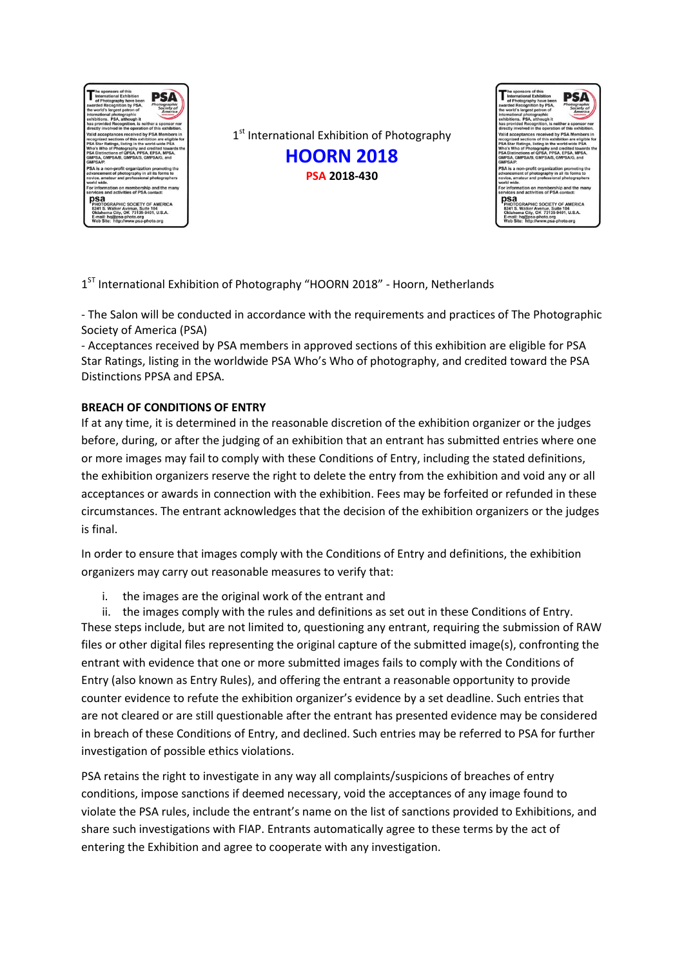

1st International Exhibition of Photography **HOORN 2018 PSA 2018-430**



1<sup>ST</sup> International Exhibition of Photography "HOORN 2018" - Hoorn, Netherlands

- The Salon will be conducted in accordance with the requirements and practices of The Photographic Society of America (PSA)

- Acceptances received by PSA members in approved sections of this exhibition are eligible for PSA Star Ratings, listing in the worldwide PSA Who's Who of photography, and credited toward the PSA Distinctions PPSA and EPSA.

## **BREACH OF CONDITIONS OF ENTRY**

If at any time, it is determined in the reasonable discretion of the exhibition organizer or the judges before, during, or after the judging of an exhibition that an entrant has submitted entries where one or more images may fail to comply with these Conditions of Entry, including the stated definitions, the exhibition organizers reserve the right to delete the entry from the exhibition and void any or all acceptances or awards in connection with the exhibition. Fees may be forfeited or refunded in these circumstances. The entrant acknowledges that the decision of the exhibition organizers or the judges is final.

In order to ensure that images comply with the Conditions of Entry and definitions, the exhibition organizers may carry out reasonable measures to verify that:

i. the images are the original work of the entrant and

ii. the images comply with the rules and definitions as set out in these Conditions of Entry. These steps include, but are not limited to, questioning any entrant, requiring the submission of RAW files or other digital files representing the original capture of the submitted image(s), confronting the entrant with evidence that one or more submitted images fails to comply with the Conditions of Entry (also known as Entry Rules), and offering the entrant a reasonable opportunity to provide counter evidence to refute the exhibition organizer's evidence by a set deadline. Such entries that are not cleared or are still questionable after the entrant has presented evidence may be considered in breach of these Conditions of Entry, and declined. Such entries may be referred to PSA for further investigation of possible ethics violations.

PSA retains the right to investigate in any way all complaints/suspicions of breaches of entry conditions, impose sanctions if deemed necessary, void the acceptances of any image found to violate the PSA rules, include the entrant's name on the list of sanctions provided to Exhibitions, and share such investigations with FIAP. Entrants automatically agree to these terms by the act of entering the Exhibition and agree to cooperate with any investigation.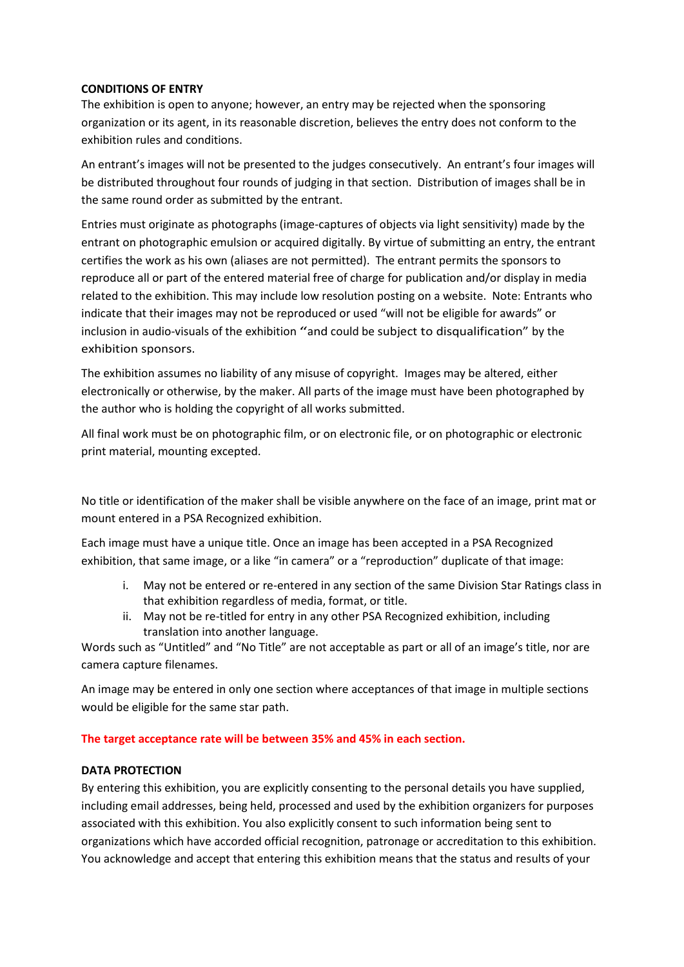### **CONDITIONS OF ENTRY**

The exhibition is open to anyone; however, an entry may be rejected when the sponsoring organization or its agent, in its reasonable discretion, believes the entry does not conform to the exhibition rules and conditions.

An entrant's images will not be presented to the judges consecutively. An entrant's four images will be distributed throughout four rounds of judging in that section. Distribution of images shall be in the same round order as submitted by the entrant.

Entries must originate as photographs (image-captures of objects via light sensitivity) made by the entrant on photographic emulsion or acquired digitally. By virtue of submitting an entry, the entrant certifies the work as his own (aliases are not permitted). The entrant permits the sponsors to reproduce all or part of the entered material free of charge for publication and/or display in media related to the exhibition. This may include low resolution posting on a website. Note: Entrants who indicate that their images may not be reproduced or used "will not be eligible for awards" or inclusion in audio-visuals of the exhibition "and could be subject to disqualification" by the exhibition sponsors.

The exhibition assumes no liability of any misuse of copyright. Images may be altered, either electronically or otherwise, by the maker. All parts of the image must have been photographed by the author who is holding the copyright of all works submitted.

All final work must be on photographic film, or on electronic file, or on photographic or electronic print material, mounting excepted.

No title or identification of the maker shall be visible anywhere on the face of an image, print mat or mount entered in a PSA Recognized exhibition.

Each image must have a unique title. Once an image has been accepted in a PSA Recognized exhibition, that same image, or a like "in camera" or a "reproduction" duplicate of that image:

- i. May not be entered or re-entered in any section of the same Division Star Ratings class in that exhibition regardless of media, format, or title.
- ii. May not be re-titled for entry in any other PSA Recognized exhibition, including translation into another language.

Words such as "Untitled" and "No Title" are not acceptable as part or all of an image's title, nor are camera capture filenames.

An image may be entered in only one section where acceptances of that image in multiple sections would be eligible for the same star path.

## **The target acceptance rate will be between 35% and 45% in each section.**

## **DATA PROTECTION**

By entering this exhibition, you are explicitly consenting to the personal details you have supplied, including email addresses, being held, processed and used by the exhibition organizers for purposes associated with this exhibition. You also explicitly consent to such information being sent to organizations which have accorded official recognition, patronage or accreditation to this exhibition. You acknowledge and accept that entering this exhibition means that the status and results of your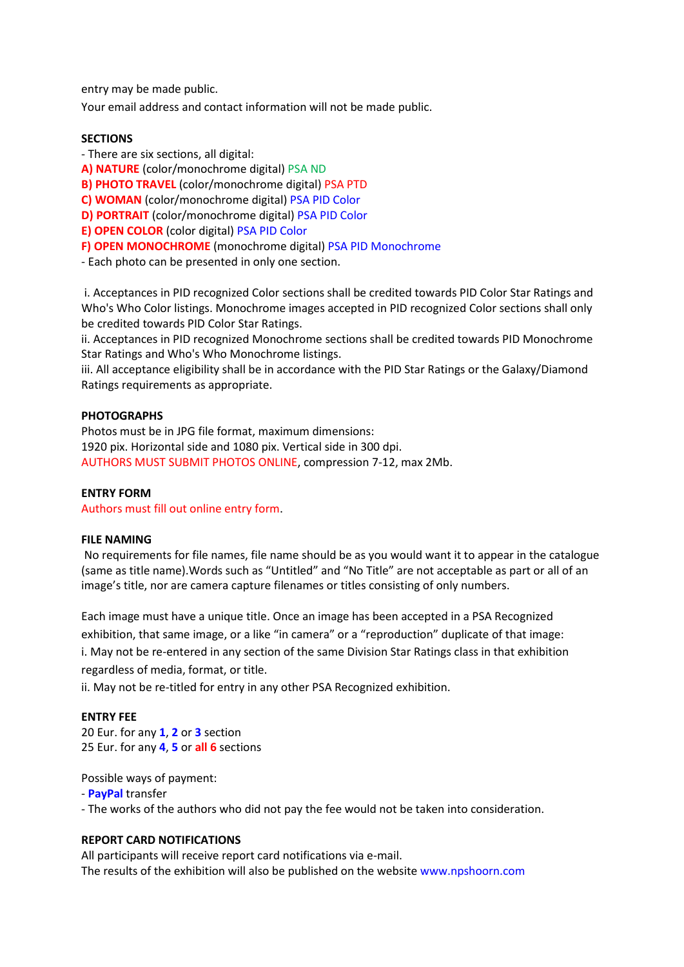entry may be made public.

Your email address and contact information will not be made public.

### **SECTIONS**

- There are six sections, all digital:

**A) NATURE** (color/monochrome digital) PSA ND

**B) PHOTO TRAVEL** (color/monochrome digital) PSA PTD

**C) WOMAN** (color/monochrome digital) PSA PID Color

**D) PORTRAIT** (color/monochrome digital) PSA PID Color

**E) OPEN COLOR** (color digital) PSA PID Color

**F) OPEN MONOCHROME** (monochrome digital) PSA PID Monochrome

- Each photo can be presented in only one section.

i. Acceptances in PID recognized Color sections shall be credited towards PID Color Star Ratings and Who's Who Color listings. Monochrome images accepted in PID recognized Color sections shall only be credited towards PID Color Star Ratings.

ii. Acceptances in PID recognized Monochrome sections shall be credited towards PID Monochrome Star Ratings and Who's Who Monochrome listings.

iii. All acceptance eligibility shall be in accordance with the PID Star Ratings or the Galaxy/Diamond Ratings requirements as appropriate.

## **PHOTOGRAPHS**

Photos must be in JPG file format, maximum dimensions: 1920 pix. Horizontal side and 1080 pix. Vertical side in 300 dpi. AUTHORS MUST SUBMIT PHOTOS ONLINE, compression 7-12, max 2Mb.

### **ENTRY FORM**

Authors must fill out online entry form.

### **FILE NAMING**

No requirements for file names, file name should be as you would want it to appear in the catalogue (same as title name).Words such as "Untitled" and "No Title" are not acceptable as part or all of an image's title, nor are camera capture filenames or titles consisting of only numbers.

Each image must have a unique title. Once an image has been accepted in a PSA Recognized exhibition, that same image, or a like "in camera" or a "reproduction" duplicate of that image: i. May not be re-entered in any section of the same Division Star Ratings class in that exhibition regardless of media, format, or title.

ii. May not be re-titled for entry in any other PSA Recognized exhibition.

### **ENTRY FEE**

20 Eur. for any **1**, **2** or **3** section 25 Eur. for any **4**, **5** or **all 6** sections

Possible ways of payment:

- **PayPal** transfer

- The works of the authors who did not pay the fee would not be taken into consideration.

## **REPORT CARD NOTIFICATIONS**

All participants will receive report card notifications via e-mail. The results of the exhibition will also be published on the website www.npshoorn.com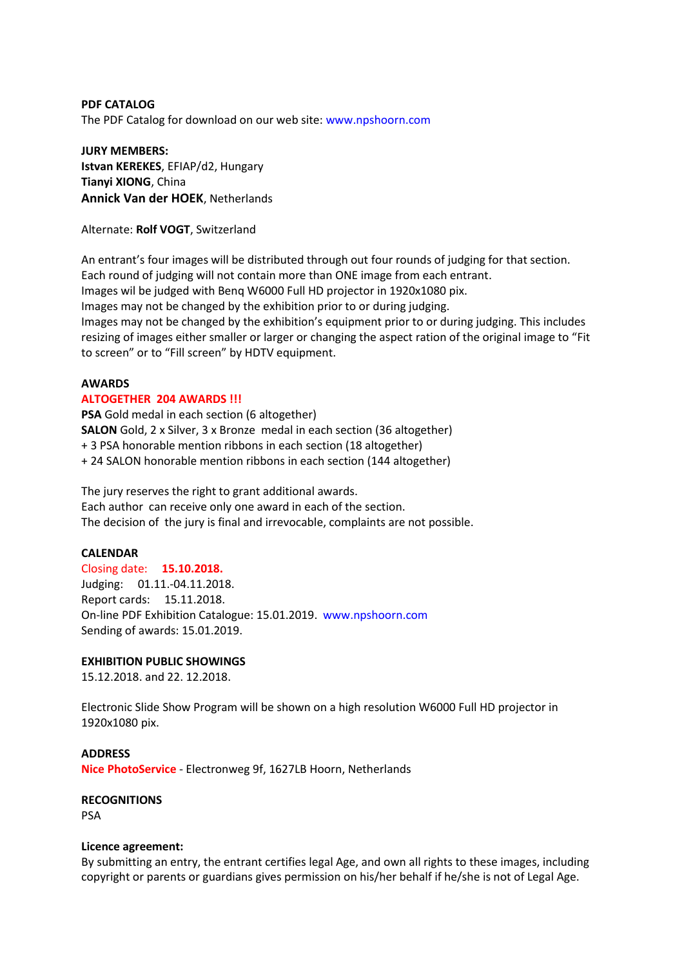**PDF CATALOG** The PDF Catalog for download on our web site: www.npshoorn.com

**JURY MEMBERS: Istvan KEREKES**, EFIAP/d2, Hungary **Tianyi XIONG**, China **Annick Van der HOEK**, Netherlands

Alternate: **Rolf VOGT**, Switzerland

An entrant's four images will be distributed through out four rounds of judging for that section. Each round of judging will not contain more than ONE image from each entrant. Images wil be judged with Benq W6000 Full HD projector in 1920x1080 pix. Images may not be changed by the exhibition prior to or during judging. Images may not be changed by the exhibition's equipment prior to or during judging. This includes resizing of images either smaller or larger or changing the aspect ration of the original image to "Fit to screen" or to "Fill screen" by HDTV equipment.

### **AWARDS**

#### **ALTOGETHER 204 AWARDS !!!**

**PSA** Gold medal in each section (6 altogether) **SALON** Gold, 2 x Silver, 3 x Bronze medal in each section (36 altogether) + 3 PSA honorable mention ribbons in each section (18 altogether) + 24 SALON honorable mention ribbons in each section (144 altogether)

The jury reserves the right to grant additional awards. Each author can receive only one award in each of the section. The decision of the jury is final and irrevocable, complaints are not possible.

### **CALENDAR**

Closing date: **15.10.2018.** Judging: 01.11.-04.11.2018. Report cards: 15.11.2018. On-line PDF Exhibition Catalogue: 15.01.2019. www.npshoorn.com Sending of awards: 15.01.2019.

### **EXHIBITION PUBLIC SHOWINGS**

15.12.2018. and 22. 12.2018.

Electronic Slide Show Program will be shown on a high resolution W6000 Full HD projector in 1920x1080 pix.

**ADDRESS Nice PhotoService** - Electronweg 9f, 1627LB Hoorn, Netherlands

**RECOGNITIONS**  PSA

### **Licence agreement:**

By submitting an entry, the entrant certifies legal Age, and own all rights to these images, including copyright or parents or guardians gives permission on his/her behalf if he/she is not of Legal Age.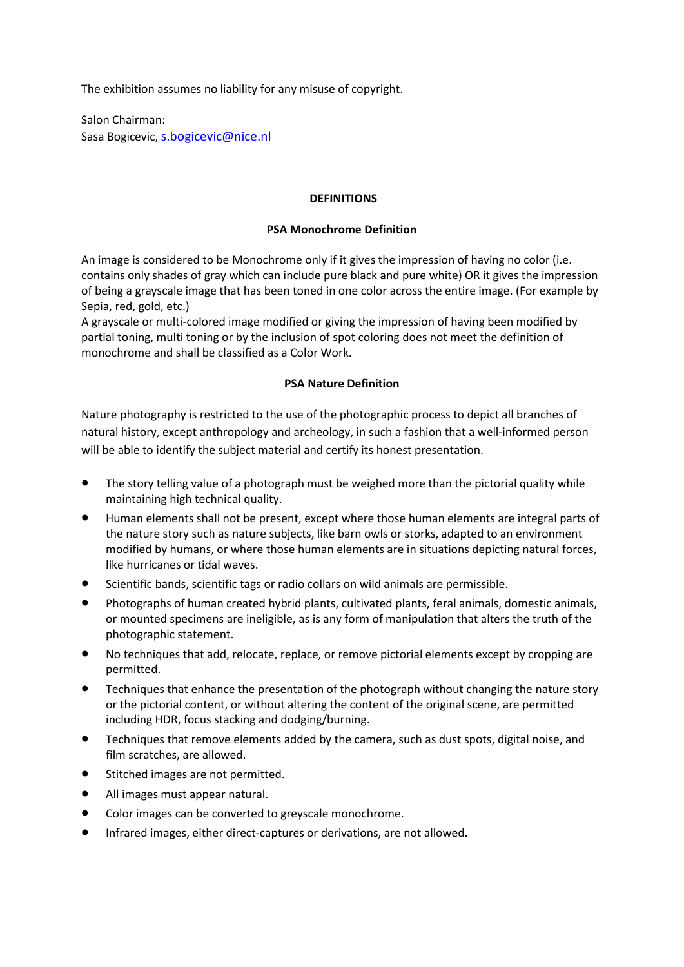The exhibition assumes no liability for any misuse of copyright.

Salon Chairman: Sasa Bogicevic, s.bogicevic@nice.nl

### **DEFINITIONS**

### **PSA Monochrome Definition**

An image is considered to be Monochrome only if it gives the impression of having no color (i.e. contains only shades of gray which can include pure black and pure white) OR it gives the impression of being a grayscale image that has been toned in one color across the entire image. (For example by Sepia, red, gold, etc.)

A grayscale or multi-colored image modified or giving the impression of having been modified by partial toning, multi toning or by the inclusion of spot coloring does not meet the definition of monochrome and shall be classified as a Color Work.

## **PSA Nature Definition**

Nature photography is restricted to the use of the photographic process to depict all branches of natural history, except anthropology and archeology, in such a fashion that a well-informed person will be able to identify the subject material and certify its honest presentation.

- The story telling value of a photograph must be weighed more than the pictorial quality while maintaining high technical quality.
- Human elements shall not be present, except where those human elements are integral parts of the nature story such as nature subjects, like barn owls or storks, adapted to an environment modified by humans, or where those human elements are in situations depicting natural forces, like hurricanes or tidal waves.
- Scientific bands, scientific tags or radio collars on wild animals are permissible.
- Photographs of human created hybrid plants, cultivated plants, feral animals, domestic animals, or mounted specimens are ineligible, as is any form of manipulation that alters the truth of the photographic statement.
- No techniques that add, relocate, replace, or remove pictorial elements except by cropping are permitted.
- Techniques that enhance the presentation of the photograph without changing the nature story or the pictorial content, or without altering the content of the original scene, are permitted including HDR, focus stacking and dodging/burning.
- Techniques that remove elements added by the camera, such as dust spots, digital noise, and film scratches, are allowed.
- Stitched images are not permitted.
- All images must appear natural.
- Color images can be converted to greyscale monochrome.
- Infrared images, either direct-captures or derivations, are not allowed.